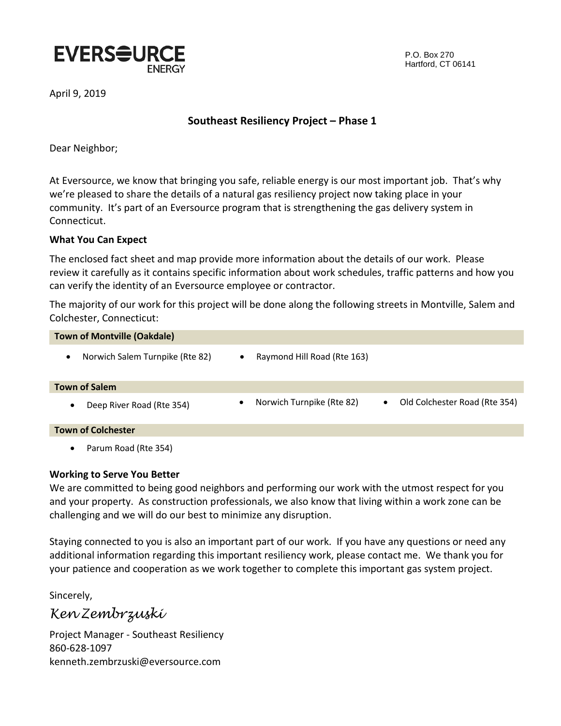

P.O. Box 270 Hartford, CT 06141

April 9, 2019

## **Southeast Resiliency Project – Phase 1**

Dear Neighbor;

At Eversource, we know that bringing you safe, reliable energy is our most important job. That's why we're pleased to share the details of a natural gas resiliency project now taking place in your community. It's part of an Eversource program that is strengthening the gas delivery system in Connecticut.

#### **What You Can Expect**

The enclosed fact sheet and map provide more information about the details of our work. Please review it carefully as it contains specific information about work schedules, traffic patterns and how you can verify the identity of an Eversource employee or contractor.

The majority of our work for this project will be done along the following streets in Montville, Salem and Colchester, Connecticut:

| <b>Town of Montville (Oakdale)</b>           |                                                                                      |
|----------------------------------------------|--------------------------------------------------------------------------------------|
| Norwich Salem Turnpike (Rte 82)<br>$\bullet$ | Raymond Hill Road (Rte 163)<br>$\bullet$                                             |
| <b>Town of Salem</b>                         |                                                                                      |
| Deep River Road (Rte 354)<br>$\bullet$       | Norwich Turnpike (Rte 82)<br>Old Colchester Road (Rte 354)<br>$\bullet$<br>$\bullet$ |
| <b>Town of Colchester</b>                    |                                                                                      |
| Parum Road (Rte 354)<br>$\bullet$            |                                                                                      |

#### **Working to Serve You Better**

We are committed to being good neighbors and performing our work with the utmost respect for you and your property. As construction professionals, we also know that living within a work zone can be challenging and we will do our best to minimize any disruption.

Staying connected to you is also an important part of our work. If you have any questions or need any additional information regarding this important resiliency work, please contact me. We thank you for your patience and cooperation as we work together to complete this important gas system project.

Sincerely,

*Ken Zembrzuski*

Project Manager - Southeast Resiliency 860-628-1097 kenneth.zembrzuski@eversource.com